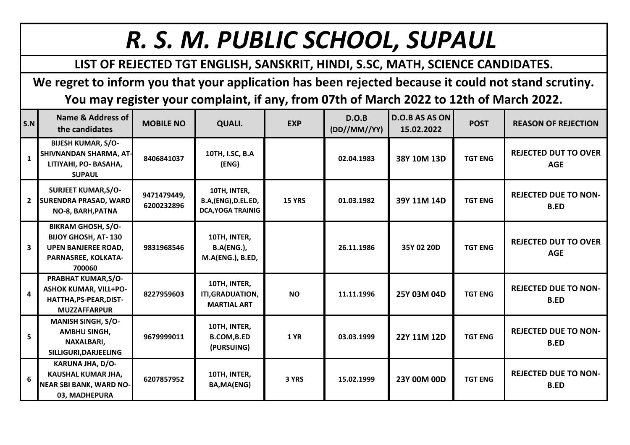## *R. S. M. PUBLIC SCHOOL, SUPAUL*

## **LIST OF REJECTED TGT ENGLISH, SANSKRIT, HINDI, S.SC, MATH, SCIENCE CANDIDATES.**

**We regret to inform you that your application has been rejected because it could not stand scrutiny. You may register your complaint, if any, from 07th of March 2022 to 12th of March 2022.**

| S.N                     | Name & Address of<br>the candidates                                                                                    | <b>MOBILE NO</b>          | <b>QUALI.</b>                                                   | <b>EXP</b>    | D.O.B<br>(DD//MM//YY) | <b>D.O.B AS AS ON</b><br>15.02.2022 | <b>POST</b>    | <b>REASON OF REJECTION</b>                 |
|-------------------------|------------------------------------------------------------------------------------------------------------------------|---------------------------|-----------------------------------------------------------------|---------------|-----------------------|-------------------------------------|----------------|--------------------------------------------|
| $\mathbf{1}$            | <b>BIJESH KUMAR, S/O-</b><br>SHIVNANDAN SHARMA, AT-<br>LITIYAHI, PO- BASAHA,<br><b>SUPAUL</b>                          | 8406841037                | 10TH, I.SC, B.A<br>(ENG)                                        |               | 02.04.1983            | 38Y 10M 13D                         | <b>TGT ENG</b> | <b>REJECTED DUT TO OVER</b><br><b>AGE</b>  |
| $\mathbf{2}$            | <b>SURJEET KUMAR, S/O-</b><br><b>SURENDRA PRASAD, WARD</b><br>NO-8, BARH, PATNA                                        | 9471479449,<br>6200232896 | 10TH, INTER,<br>B.A,(ENG), D.EL.ED,<br><b>DCA, YOGA TRAINIG</b> | <b>15 YRS</b> | 01.03.1982            | 39Y 11M 14D                         | <b>TGT ENG</b> | <b>REJECTED DUE TO NON-</b><br><b>B.ED</b> |
| 3                       | <b>BIKRAM GHOSH, S/O-</b><br><b>BIJOY GHOSH, AT-130</b><br><b>UPEN BANJEREE ROAD,</b><br>PARNASREE, KOLKATA-<br>700060 | 9831968546                | 10TH, INTER,<br><b>B.A(ENG.),</b><br>M.A(ENG.), B.ED,           |               | 26.11.1986            | 35Y 02 20D                          | <b>TGT ENG</b> | <b>REJECTED DUT TO OVER</b><br><b>AGE</b>  |
| $\overline{\mathbf{4}}$ | PRABHAT KUMAR, S/O-<br><b>ASHOK KUMAR, VILL+PO-</b><br>HATTHA, PS-PEAR, DIST-<br><b>MUZZAFFARPUR</b>                   | 8227959603                | 10TH, INTER,<br>ITI, GRADUATION,<br><b>MARTIAL ART</b>          | <b>NO</b>     | 11.11.1996            | 25Y 03M 04D                         | <b>TGT ENG</b> | <b>REJECTED DUE TO NON-</b><br><b>B.ED</b> |
| 5                       | <b>MANISH SINGH, S/O-</b><br><b>AMBHU SINGH,</b><br>NAXALBARI,<br>SILLIGURI, DARJEELING                                | 9679999011                | 10TH, INTER,<br><b>B.COM, B.ED</b><br>(PURSUING)                | <b>1 YR</b>   | 03.03.1999            | 22Y 11M 12D                         | <b>TGT ENG</b> | <b>REJECTED DUE TO NON-</b><br><b>B.ED</b> |
| 6                       | KARUNA JHA, D/O-<br>KAUSHAL KUMAR JHA,<br><b>NEAR SBI BANK, WARD NO-</b><br>03, MADHEPURA                              | 6207857952                | 10TH, INTER,<br>BA, MA(ENG)                                     | 3 YRS         | 15.02.1999            | 23Y 00M 00D                         | <b>TGT ENG</b> | <b>REJECTED DUE TO NON-</b><br><b>B.ED</b> |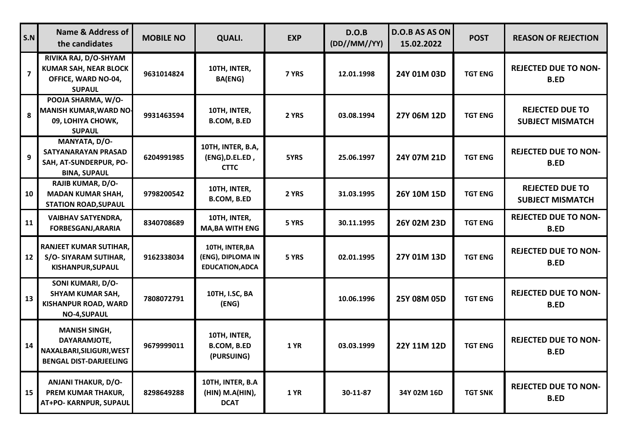| $\mathsf{S}.\mathsf{N}$ | <b>Name &amp; Address of</b><br>the candidates                                                     | <b>MOBILE NO</b> | <b>QUALI.</b>                                                  | <b>EXP</b>  | D.O.B<br>(DD//MM//YY) | D.O.B AS AS ON<br>15.02.2022 | <b>POST</b>    | <b>REASON OF REJECTION</b>                        |
|-------------------------|----------------------------------------------------------------------------------------------------|------------------|----------------------------------------------------------------|-------------|-----------------------|------------------------------|----------------|---------------------------------------------------|
| $\overline{7}$          | RIVIKA RAJ, D/O-SHYAM<br><b>KUMAR SAH, NEAR BLOCK</b><br>OFFICE, WARD NO-04,<br><b>SUPAUL</b>      | 9631014824       | 10TH, INTER,<br><b>BA(ENG)</b>                                 | 7 YRS       | 12.01.1998            | 24Y 01M 03D                  | <b>TGT ENG</b> | <b>REJECTED DUE TO NON-</b><br><b>B.ED</b>        |
| 8                       | POOJA SHARMA, W/O-<br><b>MANISH KUMAR, WARD NO-</b><br>09, LOHIYA CHOWK,<br><b>SUPAUL</b>          | 9931463594       | 10TH, INTER,<br><b>B.COM, B.ED</b>                             | 2 YRS       | 03.08.1994            | 27Y 06M 12D                  | <b>TGT ENG</b> | <b>REJECTED DUE TO</b><br><b>SUBJECT MISMATCH</b> |
| 9                       | MANYATA, D/O-<br>SATYANARAYAN PRASAD<br>SAH, AT-SUNDERPUR, PO-<br><b>BINA, SUPAUL</b>              | 6204991985       | 10TH, INTER, B.A,<br>(ENG), D.EL.ED,<br><b>CTTC</b>            | 5YRS        | 25.06.1997            | 24Y 07M 21D                  | <b>TGT ENG</b> | <b>REJECTED DUE TO NON-</b><br><b>B.ED</b>        |
| 10                      | <b>RAJIB KUMAR, D/O-</b><br><b>MADAN KUMAR SHAH,</b><br><b>STATION ROAD, SUPAUL</b>                | 9798200542       | 10TH, INTER,<br>B.COM, B.ED                                    | 2 YRS       | 31.03.1995            | 26Y 10M 15D                  | <b>TGT ENG</b> | <b>REJECTED DUE TO</b><br><b>SUBJECT MISMATCH</b> |
| 11                      | <b>VAIBHAV SATYENDRA,</b><br><b>FORBESGANJ, ARARIA</b>                                             | 8340708689       | 10TH, INTER,<br><b>MA, BA WITH ENG</b>                         | 5 YRS       | 30.11.1995            | 26Y 02M 23D                  | <b>TGT ENG</b> | <b>REJECTED DUE TO NON-</b><br><b>B.ED</b>        |
| 12                      | <b>RANJEET KUMAR SUTIHAR,</b><br>S/O-SIYARAM SUTIHAR,<br>KISHANPUR, SUPAUL                         | 9162338034       | 10TH, INTER, BA<br>(ENG), DIPLOMA IN<br><b>EDUCATION, ADCA</b> | 5 YRS       | 02.01.1995            | 27Y 01M 13D                  | <b>TGT ENG</b> | <b>REJECTED DUE TO NON-</b><br><b>B.ED</b>        |
| 13                      | SONI KUMARI, D/O-<br><b>SHYAM KUMAR SAH,</b><br><b>KISHANPUR ROAD, WARD</b><br><b>NO-4,SUPAUL</b>  | 7808072791       | 10TH, I.SC, BA<br>(ENG)                                        |             | 10.06.1996            | 25Y 08M 05D                  | <b>TGT ENG</b> | <b>REJECTED DUE TO NON-</b><br><b>B.ED</b>        |
| 14                      | <b>MANISH SINGH,</b><br>DAYARAMJOTE,<br>NAXALBARI, SILIGURI, WEST<br><b>BENGAL DIST-DARJEELING</b> | 9679999011       | 10TH, INTER,<br><b>B.COM, B.ED</b><br>(PURSUING)               | 1 YR        | 03.03.1999            | 22Y 11M 12D                  | <b>TGT ENG</b> | <b>REJECTED DUE TO NON-</b><br><b>B.ED</b>        |
| 15                      | <b>ANJANI THAKUR, D/O-</b><br>PREM KUMAR THAKUR,<br>AT+PO- KARNPUR, SUPAUL                         | 8298649288       | 10TH, INTER, B.A<br>(HIN) M.A(HIN),<br><b>DCAT</b>             | <b>1 YR</b> | 30-11-87              | 34Y 02M 16D                  | <b>TGT SNK</b> | <b>REJECTED DUE TO NON-</b><br><b>B.ED</b>        |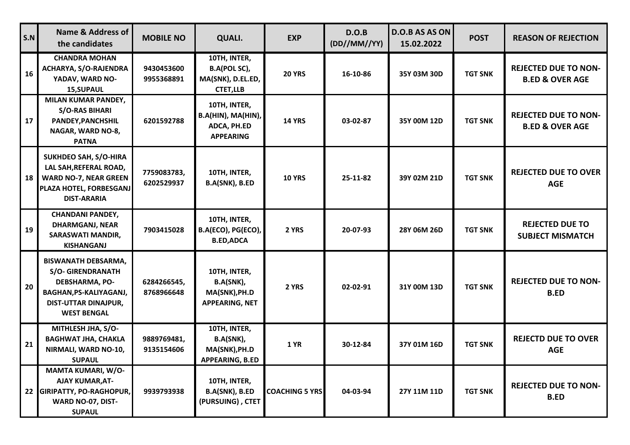| S.N | <b>Name &amp; Address of</b><br>the candidates                                                                                                                 | <b>MOBILE NO</b>          | QUALI.                                                                | <b>EXP</b>            | D.O.B<br>(DD//MM//YY) | D.O.B AS AS ON<br>15.02.2022 | <b>POST</b>    | <b>REASON OF REJECTION</b>                                |
|-----|----------------------------------------------------------------------------------------------------------------------------------------------------------------|---------------------------|-----------------------------------------------------------------------|-----------------------|-----------------------|------------------------------|----------------|-----------------------------------------------------------|
| 16  | <b>CHANDRA MOHAN</b><br><b>ACHARYA, S/O-RAJENDRA</b><br>YADAV, WARD NO-<br><b>15, SUPAUL</b>                                                                   | 9430453600<br>9955368891  | 10TH, INTER,<br>B.A(POL SC),<br>MA(SNK), D.EL.ED,<br><b>CTET,LLB</b>  | <b>20 YRS</b>         | 16-10-86              | 35Y 03M 30D                  | <b>TGT SNK</b> | <b>REJECTED DUE TO NON-</b><br><b>B.ED &amp; OVER AGE</b> |
| 17  | MILAN KUMAR PANDEY,<br><b>S/O-RAS BIHARI</b><br>PANDEY, PANCHSHIL<br>NAGAR, WARD NO-8,<br><b>PATNA</b>                                                         | 6201592788                | 10TH, INTER,<br>B.A(HIN), MA(HIN),<br>ADCA, PH.ED<br><b>APPEARING</b> | <b>14 YRS</b>         | 03-02-87              | 35Y 00M 12D                  | <b>TGT SNK</b> | <b>REJECTED DUE TO NON-</b><br><b>B.ED &amp; OVER AGE</b> |
| 18  | <b>SUKHDEO SAH, S/O-HIRA</b><br>LAL SAH, REFERAL ROAD,<br><b>WARD NO-7, NEAR GREEN</b><br>PLAZA HOTEL, FORBESGANJ<br><b>DIST-ARARIA</b>                        | 7759083783,<br>6202529937 | 10TH, INTER,<br>B.A(SNK), B.ED                                        | <b>10 YRS</b>         | 25-11-82              | 39Y 02M 21D                  | <b>TGT SNK</b> | <b>REJECTED DUE TO OVER</b><br><b>AGE</b>                 |
| 19  | <b>CHANDANI PANDEY,</b><br><b>DHARMGANJ, NEAR</b><br><b>SARASWATI MANDIR,</b><br><b>KISHANGANJ</b>                                                             | 7903415028                | 10TH, INTER,<br>B.A(ECO), PG(ECO),<br><b>B.ED, ADCA</b>               | 2 YRS                 | 20-07-93              | 28Y 06M 26D                  | <b>TGT SNK</b> | <b>REJECTED DUE TO</b><br><b>SUBJECT MISMATCH</b>         |
| 20  | <b>BISWANATH DEBSARMA,</b><br><b>S/O- GIRENDRANATH</b><br><b>DEBSHARMA, PO-</b><br>BAGHAN, PS-KALIYAGANJ,<br><b>DIST-UTTAR DINAJPUR,</b><br><b>WEST BENGAL</b> | 6284266545,<br>8768966648 | 10TH, INTER,<br>B.A(SNK),<br>MA(SNK), PH.D<br>APPEARING, NET          | 2 YRS                 | 02-02-91              | 31Y 00M 13D                  | <b>TGT SNK</b> | <b>REJECTED DUE TO NON-</b><br><b>B.ED</b>                |
| 21  | MITHLESH JHA, S/O-<br><b>BAGHWAT JHA, CHAKLA</b><br>NIRMALI, WARD NO-10,<br><b>SUPAUL</b>                                                                      | 9889769481,<br>9135154606 | 10TH, INTER,<br>B.A(SNK),<br>MA(SNK), PH.D<br><b>APPEARING, B.ED</b>  | <b>1 YR</b>           | 30-12-84              | 37Y 01M 16D                  | <b>TGT SNK</b> | <b>REJECTD DUE TO OVER</b><br><b>AGE</b>                  |
| 22  | MAMTA KUMARI, W/O-<br><b>AJAY KUMAR, AT-</b><br><b>GIRIPATTY, PO-RAGHOPUR,</b><br>WARD NO-07, DIST-<br><b>SUPAUL</b>                                           | 9939793938                | 10TH, INTER,<br><b>B.A(SNK), B.ED</b><br>(PURSUING), CTET             | <b>COACHING 5 YRS</b> | 04-03-94              | 27Y 11M 11D                  | <b>TGT SNK</b> | <b>REJECTED DUE TO NON-</b><br><b>B.ED</b>                |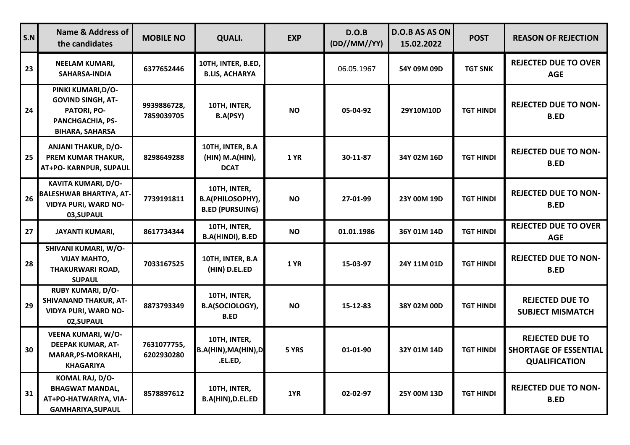| S.N | <b>Name &amp; Address of</b><br>the candidates                                                              | <b>MOBILE NO</b>          | <b>QUALI.</b>                                              | <b>EXP</b>  | D.O.B<br>(DD//MM//YY) | <b>D.O.B AS AS ON</b><br>15.02.2022 | <b>POST</b>      | <b>REASON OF REJECTION</b>                                                     |
|-----|-------------------------------------------------------------------------------------------------------------|---------------------------|------------------------------------------------------------|-------------|-----------------------|-------------------------------------|------------------|--------------------------------------------------------------------------------|
| 23  | <b>NEELAM KUMARI,</b><br>SAHARSA-INDIA                                                                      | 6377652446                | 10TH, INTER, B.ED,<br><b>B.LIS, ACHARYA</b>                |             | 06.05.1967            | 54Y 09M 09D                         | <b>TGT SNK</b>   | <b>REJECTED DUE TO OVER</b><br><b>AGE</b>                                      |
| 24  | PINKI KUMARI, D/O-<br><b>GOVIND SINGH, AT-</b><br>PATORI, PO-<br>PANCHGACHIA, PS-<br><b>BIHARA, SAHARSA</b> | 9939886728,<br>7859039705 | 10TH, INTER,<br><b>B.A(PSY)</b>                            | <b>NO</b>   | 05-04-92              | 29Y10M10D                           | <b>TGT HINDI</b> | <b>REJECTED DUE TO NON-</b><br><b>B.ED</b>                                     |
| 25  | <b>ANJANI THAKUR, D/O-</b><br>PREM KUMAR THAKUR,<br>AT+PO- KARNPUR, SUPAUL                                  | 8298649288                | 10TH, INTER, B.A<br>(HIN) M.A(HIN),<br><b>DCAT</b>         | <b>1 YR</b> | 30-11-87              | 34Y 02M 16D                         | <b>TGT HINDI</b> | <b>REJECTED DUE TO NON-</b><br><b>B.ED</b>                                     |
| 26  | KAVITA KUMARI, D/O-<br><b>BALESHWAR BHARTIYA, AT-</b><br><b>VIDYA PURI, WARD NO-</b><br>03, SUPAUL          | 7739191811                | 10TH, INTER,<br>B.A(PHILOSOPHY),<br><b>B.ED (PURSUING)</b> | <b>NO</b>   | 27-01-99              | 23Y 00M 19D                         | <b>TGT HINDI</b> | <b>REJECTED DUE TO NON-</b><br><b>B.ED</b>                                     |
| 27  | <b>JAYANTI KUMARI,</b>                                                                                      | 8617734344                | 10TH, INTER,<br>B.A(HINDI), B.ED                           | <b>NO</b>   | 01.01.1986            | 36Y 01M 14D                         | <b>TGT HINDI</b> | <b>REJECTED DUE TO OVER</b><br><b>AGE</b>                                      |
| 28  | SHIVANI KUMARI, W/O-<br><b>VIJAY MAHTO,</b><br><b>THAKURWARI ROAD,</b><br><b>SUPAUL</b>                     | 7033167525                | 10TH, INTER, B.A<br>(HIN) D.EL.ED                          | <b>1 YR</b> | 15-03-97              | 24Y 11M 01D                         | <b>TGT HINDI</b> | <b>REJECTED DUE TO NON-</b><br><b>B.ED</b>                                     |
| 29  | <b>RUBY KUMARI, D/O-</b><br><b>SHIVANAND THAKUR, AT-</b><br><b>VIDYA PURI, WARD NO-</b><br>02, SUPAUL       | 8873793349                | 10TH, INTER,<br>B.A(SOCIOLOGY),<br><b>B.ED</b>             | <b>NO</b>   | 15-12-83              | 38Y 02M 00D                         | <b>TGT HINDI</b> | <b>REJECTED DUE TO</b><br><b>SUBJECT MISMATCH</b>                              |
| 30  | <b>VEENA KUMARI, W/O-</b><br><b>DEEPAK KUMAR, AT-</b><br>MARAR, PS-MORKAHI,<br><b>KHAGARIYA</b>             | 7631077755,<br>6202930280 | 10TH, INTER,<br>B.A(HIN), MA(HIN), D<br>.EL.ED,            | 5 YRS       | 01-01-90              | 32Y 01M 14D                         | <b>TGT HINDI</b> | <b>REJECTED DUE TO</b><br><b>SHORTAGE OF ESSENTIAL</b><br><b>QUALIFICATION</b> |
| 31  | KOMAL RAJ, D/O-<br><b>BHAGWAT MANDAL,</b><br>AT+PO-HATWARIYA, VIA-<br>GAMHARIYA, SUPAUL                     | 8578897612                | 10TH, INTER,<br>B.A(HIN), D.EL.ED                          | 1YR         | 02-02-97              | 25Y 00M 13D                         | <b>TGT HINDI</b> | <b>REJECTED DUE TO NON-</b><br><b>B.ED</b>                                     |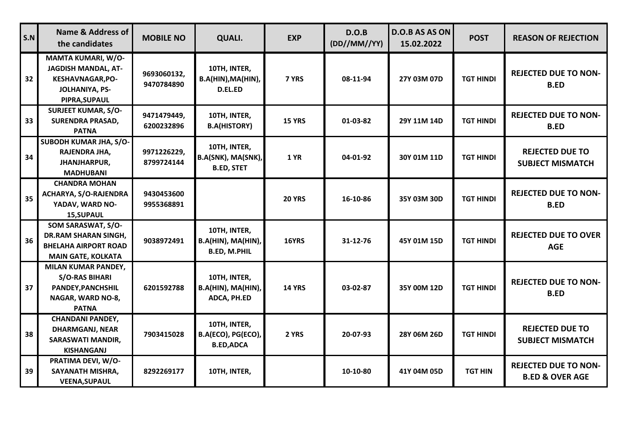| S.N | <b>Name &amp; Address of</b><br>the candidates                                                                        | <b>MOBILE NO</b>          | <b>QUALI.</b>                                             | <b>EXP</b>    | D.O.B<br>(DD//MM//YY) | <b>D.O.B AS AS ON</b><br>15.02.2022 | <b>POST</b>      | <b>REASON OF REJECTION</b>                                |
|-----|-----------------------------------------------------------------------------------------------------------------------|---------------------------|-----------------------------------------------------------|---------------|-----------------------|-------------------------------------|------------------|-----------------------------------------------------------|
| 32  | <b>MAMTA KUMARI, W/O-</b><br><b>JAGDISH MANDAL, AT-</b><br><b>KESHAVNAGAR, PO-</b><br>JOLHANIYA, PS-<br>PIPRA, SUPAUL | 9693060132,<br>9470784890 | 10TH, INTER,<br>B.A(HIN), MA(HIN),<br>D.EL.ED             | 7 YRS         | 08-11-94              | 27Y 03M 07D                         | <b>TGT HINDI</b> | <b>REJECTED DUE TO NON-</b><br><b>B.ED</b>                |
| 33  | <b>SURJEET KUMAR, S/O-</b><br><b>SURENDRA PRASAD,</b><br><b>PATNA</b>                                                 | 9471479449,<br>6200232896 | 10TH, INTER,<br><b>B.A(HISTORY)</b>                       | <b>15 YRS</b> | 01-03-82              | 29Y 11M 14D                         | <b>TGT HINDI</b> | <b>REJECTED DUE TO NON-</b><br><b>B.ED</b>                |
| 34  | SUBODH KUMAR JHA, S/O-<br>RAJENDRA JHA,<br><b>JHANJHARPUR,</b><br><b>MADHUBANI</b>                                    | 9971226229,<br>8799724144 | 10TH, INTER,<br>B.A(SNK), MA(SNK),<br><b>B.ED, STET</b>   | <b>1 YR</b>   | 04-01-92              | 30Y 01M 11D                         | <b>TGT HINDI</b> | <b>REJECTED DUE TO</b><br><b>SUBJECT MISMATCH</b>         |
| 35  | <b>CHANDRA MOHAN</b><br><b>ACHARYA, S/O-RAJENDRA</b><br>YADAV, WARD NO-<br>15, SUPAUL                                 | 9430453600<br>9955368891  |                                                           | <b>20 YRS</b> | 16-10-86              | 35Y 03M 30D                         | <b>TGT HINDI</b> | <b>REJECTED DUE TO NON-</b><br><b>B.ED</b>                |
| 36  | SOM SARASWAT, S/O-<br><b>DR.RAM SHARAN SINGH,</b><br><b>BHELAHA AIRPORT ROAD</b><br><b>MAIN GATE, KOLKATA</b>         | 9038972491                | 10TH, INTER,<br>B.A(HIN), MA(HIN),<br><b>B.ED, M.PHIL</b> | 16YRS         | 31-12-76              | 45Y 01M 15D                         | <b>TGT HINDI</b> | <b>REJECTED DUE TO OVER</b><br><b>AGE</b>                 |
| 37  | MILAN KUMAR PANDEY,<br><b>S/O-RAS BIHARI</b><br><b>PANDEY, PANCHSHIL</b><br>NAGAR, WARD NO-8,<br><b>PATNA</b>         | 6201592788                | 10TH, INTER,<br>B.A(HIN), MA(HIN),<br>ADCA, PH.ED         | <b>14 YRS</b> | 03-02-87              | 35Y 00M 12D                         | <b>TGT HINDI</b> | <b>REJECTED DUE TO NON-</b><br><b>B.ED</b>                |
| 38  | <b>CHANDANI PANDEY,</b><br><b>DHARMGANJ, NEAR</b><br><b>SARASWATI MANDIR,</b><br><b>KISHANGANJ</b>                    | 7903415028                | 10TH, INTER,<br>B.A(ECO), PG(ECO),<br><b>B.ED, ADCA</b>   | 2 YRS         | 20-07-93              | 28Y 06M 26D                         | <b>TGT HINDI</b> | <b>REJECTED DUE TO</b><br><b>SUBJECT MISMATCH</b>         |
| 39  | PRATIMA DEVI, W/O-<br>SAYANATH MISHRA,<br><b>VEENA, SUPAUL</b>                                                        | 8292269177                | 10TH, INTER,                                              |               | 10-10-80              | 41Y 04M 05D                         | <b>TGT HIN</b>   | <b>REJECTED DUE TO NON-</b><br><b>B.ED &amp; OVER AGE</b> |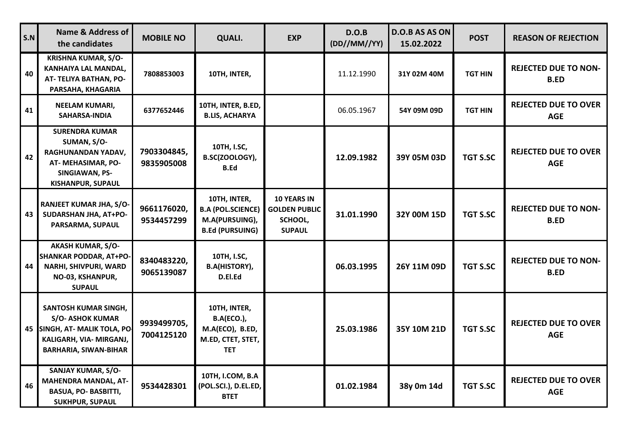| S.N | <b>Name &amp; Address of</b><br>the candidates                                                                                          | <b>MOBILE NO</b>          | <b>QUALI.</b>                                                                           | <b>EXP</b>                                                             | D.O.B<br>(DD//MM//YY) | <b>D.O.B AS AS ON</b><br>15.02.2022 | <b>POST</b>     | <b>REASON OF REJECTION</b>                 |
|-----|-----------------------------------------------------------------------------------------------------------------------------------------|---------------------------|-----------------------------------------------------------------------------------------|------------------------------------------------------------------------|-----------------------|-------------------------------------|-----------------|--------------------------------------------|
| 40  | <b>KRISHNA KUMAR, S/O-</b><br>KANHAIYA LAL MANDAL,<br>AT- TELIYA BATHAN, PO-<br>PARSAHA, KHAGARIA                                       | 7808853003                | 10TH, INTER,                                                                            |                                                                        | 11.12.1990            | 31Y 02M 40M                         | <b>TGT HIN</b>  | <b>REJECTED DUE TO NON-</b><br><b>B.ED</b> |
| 41  | <b>NEELAM KUMARI,</b><br>SAHARSA-INDIA                                                                                                  | 6377652446                | 10TH, INTER, B.ED,<br><b>B.LIS, ACHARYA</b>                                             |                                                                        | 06.05.1967            | 54Y 09M 09D                         | <b>TGT HIN</b>  | <b>REJECTED DUE TO OVER</b><br><b>AGE</b>  |
| 42  | <b>SURENDRA KUMAR</b><br>SUMAN, S/O-<br>RAGHUNANDAN YADAV,<br>AT-MEHASIMAR, PO-<br>SINGIAWAN, PS-<br><b>KISHANPUR, SUPAUL</b>           | 7903304845,<br>9835905008 | 10TH, I.SC,<br>B.SC(ZOOLOGY),<br><b>B.Ed</b>                                            |                                                                        | 12.09.1982            | 39Y 05M 03D                         | <b>TGT S.SC</b> | <b>REJECTED DUE TO OVER</b><br><b>AGE</b>  |
| 43  | RANJEET KUMAR JHA, S/O-<br>SUDARSHAN JHA, AT+PO-<br>PARSARMA, SUPAUL                                                                    | 9661176020,<br>9534457299 | 10TH, INTER,<br><b>B.A (POL.SCIENCE)</b><br>M.A(PURSUING),<br><b>B.Ed (PURSUING)</b>    | <b>10 YEARS IN</b><br><b>GOLDEN PUBLIC</b><br>SCHOOL,<br><b>SUPAUL</b> | 31.01.1990            | 32Y 00M 15D                         | <b>TGT S.SC</b> | <b>REJECTED DUE TO NON-</b><br><b>B.ED</b> |
| 44  | <b>AKASH KUMAR, S/O-</b><br><b>SHANKAR PODDAR, AT+PO-</b><br>NARHI, SHIVPURI, WARD<br>NO-03, KSHANPUR,<br><b>SUPAUL</b>                 | 8340483220,<br>9065139087 | 10TH, I.SC,<br><b>B.A(HISTORY),</b><br>D.El.Ed                                          |                                                                        | 06.03.1995            | 26Y 11M 09D                         | <b>TGT S.SC</b> | <b>REJECTED DUE TO NON-</b><br><b>B.ED</b> |
| 45  | SANTOSH KUMAR SINGH,<br><b>S/O- ASHOK KUMAR</b><br>SINGH, AT- MALIK TOLA, PO<br>KALIGARH, VIA- MIRGANJ,<br><b>BARHARIA, SIWAN-BIHAR</b> | 9939499705,<br>7004125120 | 10TH, INTER,<br><b>B.A(ECO.),</b><br>M.A(ECO), B.ED,<br>M.ED, CTET, STET,<br><b>TET</b> |                                                                        | 25.03.1986            | 35Y 10M 21D                         | <b>TGT S.SC</b> | <b>REJECTED DUE TO OVER</b><br><b>AGE</b>  |
| 46  | SANJAY KUMAR, S/O-<br><b>MAHENDRA MANDAL, AT-</b><br><b>BASUA, PO- BASBITTI,</b><br><b>SUKHPUR, SUPAUL</b>                              | 9534428301                | 10TH, I.COM, B.A<br>(POL.SCI.), D.EL.ED,<br><b>BTET</b>                                 |                                                                        | 01.02.1984            | 38y 0m 14d                          | <b>TGT S.SC</b> | <b>REJECTED DUE TO OVER</b><br><b>AGE</b>  |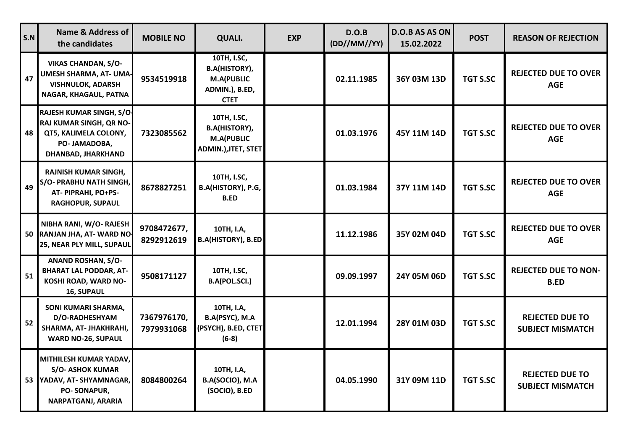| S.N | Name & Address of<br>the candidates                                                                                    | <b>MOBILE NO</b>          | <b>QUALI.</b>                                                                             | <b>EXP</b> | D.O.B<br>(DD//MM//YY) | <b>D.O.B AS AS ON</b><br>15.02.2022 | <b>POST</b>     | <b>REASON OF REJECTION</b>                        |
|-----|------------------------------------------------------------------------------------------------------------------------|---------------------------|-------------------------------------------------------------------------------------------|------------|-----------------------|-------------------------------------|-----------------|---------------------------------------------------|
| 47  | <b>VIKAS CHANDAN, S/O-</b><br>UMESH SHARMA, AT- UMA-<br><b>VISHNULOK, ADARSH</b><br>NAGAR, KHAGAUL, PATNA              | 9534519918                | 10TH, I.SC,<br><b>B.A(HISTORY),</b><br><b>M.A(PUBLIC</b><br>ADMIN.), B.ED,<br><b>CTET</b> |            | 02.11.1985            | 36Y 03M 13D                         | <b>TGT S.SC</b> | <b>REJECTED DUE TO OVER</b><br><b>AGE</b>         |
| 48  | RAJESH KUMAR SINGH, S/O-<br>RAJ KUMAR SINGH, QR NO-<br>QT5, KALIMELA COLONY,<br>PO- JAMADOBA,<br>DHANBAD, JHARKHAND    | 7323085562                | 10TH, I.SC,<br><b>B.A(HISTORY),</b><br><b>M.A(PUBLIC</b><br>ADMIN.), JTET, STET           |            | 01.03.1976            | 45Y 11M 14D                         | <b>TGT S.SC</b> | <b>REJECTED DUE TO OVER</b><br><b>AGE</b>         |
| 49  | <b>RAJNISH KUMAR SINGH,</b><br>S/O- PRABHU NATH SINGH,<br>AT-PIPRAHI, PO+PS-<br><b>RAGHOPUR, SUPAUL</b>                | 8678827251                | 10TH, I.SC,<br>B.A(HISTORY), P.G,<br><b>B.ED</b>                                          |            | 01.03.1984            | 37Y 11M 14D                         | <b>TGT S.SC</b> | <b>REJECTED DUE TO OVER</b><br><b>AGE</b>         |
|     | NIBHA RANI, W/O- RAJESH<br>50 RANJAN JHA, AT- WARD NO<br>25, NEAR PLY MILL, SUPAUL                                     | 9708472677,<br>8292912619 | 10TH, I.A,<br><b>B.A(HISTORY), B.ED</b>                                                   |            | 11.12.1986            | 35Y 02M 04D                         | <b>TGT S.SC</b> | <b>REJECTED DUE TO OVER</b><br><b>AGE</b>         |
| 51  | <b>ANAND ROSHAN, S/O-</b><br><b>BHARAT LAL PODDAR, AT-</b><br>KOSHI ROAD, WARD NO-<br>16, SUPAUL                       | 9508171127                | 10TH, I.SC,<br>B.A(POL.SCI.)                                                              |            | 09.09.1997            | 24Y 05M 06D                         | <b>TGT S.SC</b> | <b>REJECTED DUE TO NON-</b><br><b>B.ED</b>        |
| 52  | SONI KUMARI SHARMA,<br>D/O-RADHESHYAM<br>SHARMA, AT- JHAKHRAHI,<br><b>WARD NO-26, SUPAUL</b>                           | 7367976170,<br>7979931068 | 10TH, I.A,<br>B.A(PSYC), M.A<br>(PSYCH), B.ED, CTET<br>$(6-8)$                            |            | 12.01.1994            | 28Y 01M 03D                         | <b>TGT S.SC</b> | <b>REJECTED DUE TO</b><br><b>SUBJECT MISMATCH</b> |
| 53  | MITHILESH KUMAR YADAV,<br><b>S/O- ASHOK KUMAR</b><br>YADAV, AT-SHYAMNAGAR,<br>PO-SONAPUR,<br><b>NARPATGANJ, ARARIA</b> | 8084800264                | 10TH, I.A,<br>B.A(SOCIO), M.A<br>(SOCIO), B.ED                                            |            | 04.05.1990            | 31Y 09M 11D                         | <b>TGT S.SC</b> | <b>REJECTED DUE TO</b><br><b>SUBJECT MISMATCH</b> |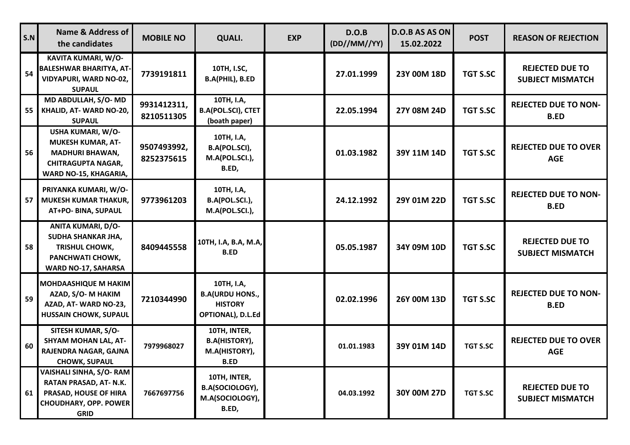| S.N | <b>Name &amp; Address of</b><br>the candidates                                                                                | <b>MOBILE NO</b>          | <b>QUALI.</b>                                                               | <b>EXP</b> | D.O.B<br>(DD//MM//YY) | D.O.B AS AS ON<br>15.02.2022 | <b>POST</b>     | <b>REASON OF REJECTION</b>                        |
|-----|-------------------------------------------------------------------------------------------------------------------------------|---------------------------|-----------------------------------------------------------------------------|------------|-----------------------|------------------------------|-----------------|---------------------------------------------------|
| 54  | KAVITA KUMARI, W/O-<br><b>BALESHWAR BHARITYA, AT-</b><br><b>VIDYAPURI, WARD NO-02,</b><br><b>SUPAUL</b>                       | 7739191811                | 10TH, I.SC,<br>B.A(PHIL), B.ED                                              |            | 27.01.1999            | 23Y 00M 18D                  | <b>TGT S.SC</b> | <b>REJECTED DUE TO</b><br><b>SUBJECT MISMATCH</b> |
| 55  | MD ABDULLAH, S/O-MD<br>KHALID, AT-WARD NO-20,<br><b>SUPAUL</b>                                                                | 9931412311,<br>8210511305 | 10TH, I.A,<br><b>B.A(POL.SCI), CTET</b><br>(boath paper)                    |            | 22.05.1994            | 27Y 08M 24D                  | <b>TGT S.SC</b> | <b>REJECTED DUE TO NON-</b><br><b>B.ED</b>        |
| 56  | USHA KUMARI, W/O-<br><b>MUKESH KUMAR, AT-</b><br><b>MADHURI BHAWAN,</b><br><b>CHITRAGUPTA NAGAR,</b><br>WARD NO-15, KHAGARIA, | 9507493992,<br>8252375615 | 10TH, I.A,<br>B.A(POL.SCI),<br>M.A(POL.SCI.),<br>B.ED,                      |            | 01.03.1982            | 39Y 11M 14D                  | <b>TGT S.SC</b> | <b>REJECTED DUE TO OVER</b><br><b>AGE</b>         |
| 57  | PRIYANKA KUMARI, W/O-<br><b>MUKESH KUMAR THAKUR,</b><br>AT+PO- BINA, SUPAUL                                                   | 9773961203                | 10TH, I.A,<br>B.A(POL.SCI.),<br>M.A(POL.SCI.),                              |            | 24.12.1992            | 29Y 01M 22D                  | TGT S.SC        | <b>REJECTED DUE TO NON-</b><br><b>B.ED</b>        |
| 58  | ANITA KUMARI, D/O-<br>SUDHA SHANKAR JHA,<br>TRISHUL CHOWK,<br>PANCHWATI CHOWK,<br><b>WARD NO-17, SAHARSA</b>                  | 8409445558                | 10TH, I.A, B.A, M.A,<br><b>B.ED</b>                                         |            | 05.05.1987            | 34Y 09M 10D                  | <b>TGT S.SC</b> | <b>REJECTED DUE TO</b><br><b>SUBJECT MISMATCH</b> |
| 59  | <b>MOHDAASHIQUE M HAKIM</b><br>AZAD, S/O-M HAKIM<br>AZAD, AT-WARD NO-23,<br><b>HUSSAIN CHOWK, SUPAUL</b>                      | 7210344990                | 10TH, I.A,<br><b>B.A(URDU HONS.,</b><br><b>HISTORY</b><br>OPTIONAL), D.L.Ed |            | 02.02.1996            | 26Y 00M 13D                  | <b>TGT S.SC</b> | <b>REJECTED DUE TO NON-</b><br><b>B.ED</b>        |
| 60  | SITESH KUMAR, S/O-<br><b>SHYAM MOHAN LAL, AT-</b><br>RAJENDRA NAGAR, GAJNA<br><b>CHOWK, SUPAUL</b>                            | 7979968027                | 10TH, INTER,<br><b>B.A(HISTORY),</b><br>M.A(HISTORY),<br><b>B.ED</b>        |            | 01.01.1983            | 39Y 01M 14D                  | <b>TGT S.SC</b> | <b>REJECTED DUE TO OVER</b><br><b>AGE</b>         |
| 61  | VAISHALI SINHA, S/O- RAM<br>RATAN PRASAD, AT- N.K.<br>PRASAD, HOUSE OF HIRA<br><b>CHOUDHARY, OPP. POWER</b><br><b>GRID</b>    | 7667697756                | 10TH, INTER,<br>B.A(SOCIOLOGY),<br>M.A(SOCIOLOGY),<br>B.ED,                 |            | 04.03.1992            | 30Y 00M 27D                  | <b>TGT S.SC</b> | <b>REJECTED DUE TO</b><br><b>SUBJECT MISMATCH</b> |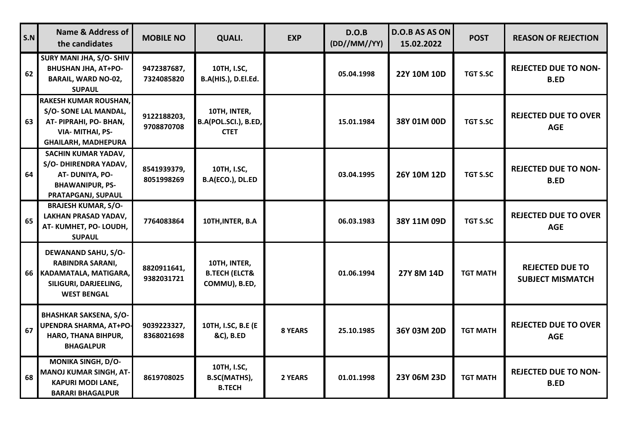| S.N | <b>Name &amp; Address of</b><br>the candidates                                                                                 | <b>MOBILE NO</b>          | QUALI.                                                    | <b>EXP</b>     | D.O.B<br>(DD//MM//YY) | <b>D.O.B AS AS ON</b><br>15.02.2022 | <b>POST</b>     | <b>REASON OF REJECTION</b>                        |
|-----|--------------------------------------------------------------------------------------------------------------------------------|---------------------------|-----------------------------------------------------------|----------------|-----------------------|-------------------------------------|-----------------|---------------------------------------------------|
| 62  | SURY MANI JHA, S/O- SHIV<br><b>BHUSHAN JHA, AT+PO-</b><br><b>BARAIL, WARD NO-02,</b><br><b>SUPAUL</b>                          | 9472387687,<br>7324085820 | 10TH, I.SC,<br>B.A(HIS.), D.El.Ed.                        |                | 05.04.1998            | 22Y 10M 10D                         | <b>TGT S.SC</b> | <b>REJECTED DUE TO NON-</b><br><b>B.ED</b>        |
| 63  | <b>RAKESH KUMAR ROUSHAN,</b><br>S/O-SONE LAL MANDAL,<br>AT-PIPRAHI, PO-BHAN,<br>VIA- MITHAI, PS-<br><b>GHAILARH, MADHEPURA</b> | 9122188203,<br>9708870708 | 10TH, INTER,<br>B.A(POL.SCI.), B.ED,<br><b>CTET</b>       |                | 15.01.1984            | 38Y 01M 00D                         | <b>TGT S.SC</b> | <b>REJECTED DUE TO OVER</b><br><b>AGE</b>         |
| 64  | SACHIN KUMAR YADAV,<br>S/O- DHIRENDRA YADAV,<br>AT-DUNIYA, PO-<br><b>BHAWANIPUR, PS-</b><br>PRATAPGANJ, SUPAUL                 | 8541939379,<br>8051998269 | 10TH, I.SC,<br>B.A(ECO.), DL.ED                           |                | 03.04.1995            | 26Y 10M 12D                         | <b>TGT S.SC</b> | <b>REJECTED DUE TO NON-</b><br><b>B.ED</b>        |
| 65  | <b>BRAJESH KUMAR, S/O-</b><br>LAKHAN PRASAD YADAV,<br>AT-KUMHET, PO-LOUDH,<br><b>SUPAUL</b>                                    | 7764083864                | 10TH, INTER, B.A                                          |                | 06.03.1983            | 38Y 11M 09D                         | <b>TGT S.SC</b> | <b>REJECTED DUE TO OVER</b><br><b>AGE</b>         |
| 66  | <b>DEWANAND SAHU, S/O-</b><br><b>RABINDRA SARANI,</b><br>KADAMATALA, MATIGARA,<br>SILIGURI, DARJEELING,<br><b>WEST BENGAL</b>  | 8820911641,<br>9382031721 | 10TH, INTER,<br><b>B.TECH (ELCT&amp;</b><br>COMMU), B.ED, |                | 01.06.1994            | 27Y 8M 14D                          | <b>TGT MATH</b> | <b>REJECTED DUE TO</b><br><b>SUBJECT MISMATCH</b> |
| 67  | <b>BHASHKAR SAKSENA, S/O-</b><br>UPENDRA SHARMA, AT+PO-<br>HARO, THANA BIHPUR,<br><b>BHAGALPUR</b>                             | 9039223327,<br>8368021698 | 10TH, I.SC, B.E (E<br>&C), B.ED                           | <b>8 YEARS</b> | 25.10.1985            | 36Y 03M 20D                         | <b>TGT MATH</b> | <b>REJECTED DUE TO OVER</b><br><b>AGE</b>         |
| 68  | <b>MONIKA SINGH, D/O-</b><br><b>MANOJ KUMAR SINGH, AT-</b><br><b>KAPURI MODI LANE,</b><br><b>BARARI BHAGALPUR</b>              | 8619708025                | 10TH, I.SC,<br>B.SC(MATHS),<br><b>B.TECH</b>              | 2 YEARS        | 01.01.1998            | 23Y 06M 23D                         | <b>TGT MATH</b> | <b>REJECTED DUE TO NON-</b><br><b>B.ED</b>        |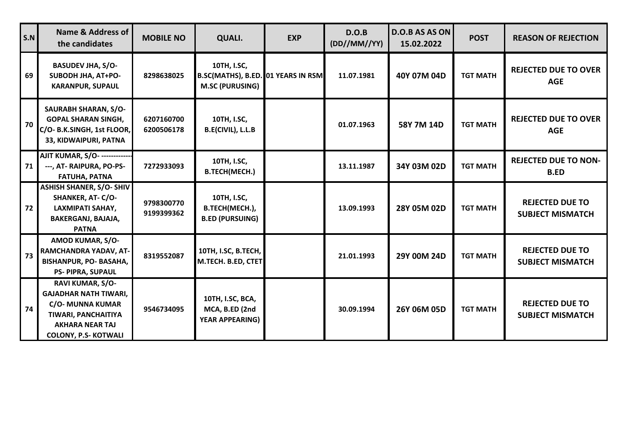| S.N | Name & Address of<br>the candidates                                                                                                                         | <b>MOBILE NO</b>         | <b>QUALI.</b>                                                               | <b>EXP</b> | D.O.B<br>(DD//MM//YY) | <b>D.O.B AS AS ON</b><br>15.02.2022 | <b>POST</b>     | <b>REASON OF REJECTION</b>                        |
|-----|-------------------------------------------------------------------------------------------------------------------------------------------------------------|--------------------------|-----------------------------------------------------------------------------|------------|-----------------------|-------------------------------------|-----------------|---------------------------------------------------|
| 69  | <b>BASUDEV JHA, S/O-</b><br>SUBODH JHA, AT+PO-<br><b>KARANPUR, SUPAUL</b>                                                                                   | 8298638025               | 10TH, I.SC,<br>B.SC(MATHS), B.ED. 01 YEARS IN RSM<br><b>M.SC (PURUSING)</b> |            | 11.07.1981            | 40Y 07M 04D                         | <b>TGT MATH</b> | <b>REJECTED DUE TO OVER</b><br><b>AGE</b>         |
| 70  | <b>SAURABH SHARAN, S/O-</b><br><b>GOPAL SHARAN SINGH,</b><br>C/O- B.K.SINGH, 1st FLOOR,<br>33, KIDWAIPURI, PATNA                                            | 6207160700<br>6200506178 | 10TH, I.SC,<br>B.E(CIVIL), L.L.B                                            |            | 01.07.1963            | 58Y 7M 14D                          | <b>TGT MATH</b> | <b>REJECTED DUE TO OVER</b><br><b>AGE</b>         |
| 71  | AJIT KUMAR, S/O- ------------<br>---, AT- RAIPURA, PO-PS-<br><b>FATUHA, PATNA</b>                                                                           | 7272933093               | 10TH, I.SC,<br><b>B.TECH(MECH.)</b>                                         |            | 13.11.1987            | 34Y 03M 02D                         | <b>TGT MATH</b> | <b>REJECTED DUE TO NON-</b><br><b>B.ED</b>        |
| 72  | <b>ASHISH SHANER, S/O- SHIV</b><br><b>SHANKER, AT- C/O-</b><br>LAXMIPATI SAHAY,<br>BAKERGANJ, BAJAJA,<br><b>PATNA</b>                                       | 9798300770<br>9199399362 | 10TH, I.SC,<br>B.TECH(MECH.),<br><b>B.ED (PURSUING)</b>                     |            | 13.09.1993            | 28Y 05M 02D                         | <b>TGT MATH</b> | <b>REJECTED DUE TO</b><br><b>SUBJECT MISMATCH</b> |
| 73  | AMOD KUMAR, S/O-<br>RAMCHANDRA YADAV, AT-<br><b>BISHANPUR, PO- BASAHA,</b><br><b>PS- PIPRA, SUPAUL</b>                                                      | 8319552087               | 10TH, I.SC, B.TECH,<br>M.TECH. B.ED, CTET                                   |            | 21.01.1993            | 29Y 00M 24D                         | <b>TGT MATH</b> | <b>REJECTED DUE TO</b><br><b>SUBJECT MISMATCH</b> |
| 74  | RAVI KUMAR, S/O-<br><b>GAJADHAR NATH TIWARI,</b><br><b>C/O- MUNNA KUMAR</b><br>TIWARI, PANCHAITIYA<br><b>AKHARA NEAR TAJ</b><br><b>COLONY, P.S- KOTWALI</b> | 9546734095               | 10TH, I.SC, BCA,<br>MCA, B.ED (2nd<br><b>YEAR APPEARING)</b>                |            | 30.09.1994            | 26Y 06M 05D                         | <b>TGT MATH</b> | <b>REJECTED DUE TO</b><br><b>SUBJECT MISMATCH</b> |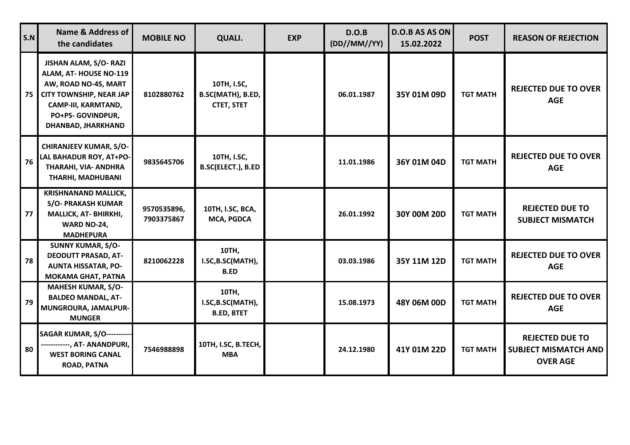| S.N | <b>Name &amp; Address of</b><br>the candidates                                                                                                                             | <b>MOBILE NO</b>          | <b>QUALI.</b>                                         | <b>EXP</b> | D.O.B<br>(DD//MM//YY) | D.O.B AS AS ON<br>15.02.2022 | <b>POST</b>     | <b>REASON OF REJECTION</b>                                               |
|-----|----------------------------------------------------------------------------------------------------------------------------------------------------------------------------|---------------------------|-------------------------------------------------------|------------|-----------------------|------------------------------|-----------------|--------------------------------------------------------------------------|
| 75  | JISHAN ALAM, S/O-RAZI<br>ALAM, AT-HOUSE NO-119<br>AW, ROAD NO-4S, MART<br><b>CITY TOWNSHIP, NEAR JAP</b><br>CAMP-III, KARMTAND,<br>PO+PS- GOVINDPUR,<br>DHANBAD, JHARKHAND | 8102880762                | 10TH, I.SC,<br>B.SC(MATH), B.ED,<br><b>CTET, STET</b> |            | 06.01.1987            | 35Y 01M 09D                  | <b>TGT MATH</b> | <b>REJECTED DUE TO OVER</b><br><b>AGE</b>                                |
| 76  | <b>CHIRANJEEV KUMAR, S/O-</b><br>LAL BAHADUR ROY, AT+PO-<br>THARAHI, VIA- ANDHRA<br>THARHI, MADHUBANI                                                                      | 9835645706                | 10TH, I.SC,<br>B.SC(ELECT.), B.ED                     |            | 11.01.1986            | 36Y 01M 04D                  | <b>TGT MATH</b> | <b>REJECTED DUE TO OVER</b><br><b>AGE</b>                                |
| 77  | <b>KRISHNANAND MALLICK,</b><br><b>S/O- PRAKASH KUMAR</b><br>MALLICK, AT-BHIRKHI,<br>WARD NO-24,<br><b>MADHEPURA</b>                                                        | 9570535896,<br>7903375867 | 10TH, I.SC, BCA,<br>MCA, PGDCA                        |            | 26.01.1992            | 30Y 00M 20D                  | <b>TGT MATH</b> | <b>REJECTED DUE TO</b><br><b>SUBJECT MISMATCH</b>                        |
| 78  | <b>SUNNY KUMAR, S/O-</b><br><b>DEODUTT PRASAD, AT-</b><br><b>AUNTA HISSATAR, PO-</b><br><b>MOKAMA GHAT, PATNA</b>                                                          | 8210062228                | 10TH,<br>I.SC, B.SC(MATH),<br><b>B.ED</b>             |            | 03.03.1986            | 35Y 11M 12D                  | <b>TGT MATH</b> | <b>REJECTED DUE TO OVER</b><br><b>AGE</b>                                |
| 79  | <b>MAHESH KUMAR, S/O-</b><br><b>BALDEO MANDAL, AT-</b><br>MUNGROURA, JAMALPUR-<br><b>MUNGER</b>                                                                            |                           | 10TH,<br>I.SC, B.SC(MATH),<br><b>B.ED, BTET</b>       |            | 15.08.1973            | 48Y 06M 00D                  | <b>TGT MATH</b> | <b>REJECTED DUE TO OVER</b><br><b>AGE</b>                                |
| 80  | <b>SAGAR KUMAR, S/O----------</b><br>------------, AT- ANANDPURI,<br><b>WEST BORING CANAL</b><br><b>ROAD, PATNA</b>                                                        | 7546988898                | 10TH, I.SC, B.TECH,<br><b>MBA</b>                     |            | 24.12.1980            | 41Y 01M 22D                  | <b>TGT MATH</b> | <b>REJECTED DUE TO</b><br><b>SUBJECT MISMATCH AND</b><br><b>OVER AGE</b> |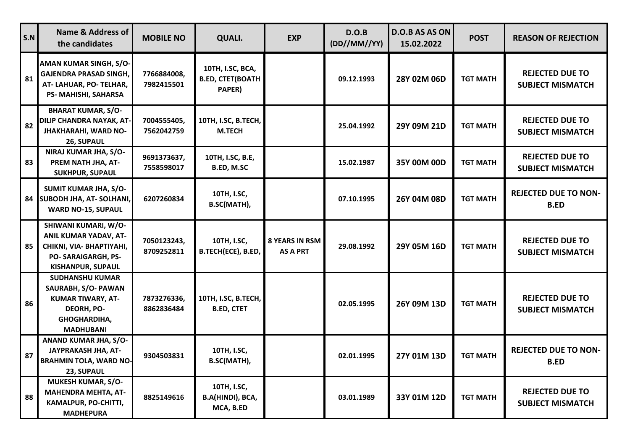| S.N | <b>Name &amp; Address of</b><br>the candidates                                                                                            | <b>MOBILE NO</b>          | <b>QUALI.</b>                                         | <b>EXP</b>                               | D.O.B<br>(DD//MM//YY) | <b>D.O.B AS AS ON</b><br>15.02.2022 | <b>POST</b>     | <b>REASON OF REJECTION</b>                        |
|-----|-------------------------------------------------------------------------------------------------------------------------------------------|---------------------------|-------------------------------------------------------|------------------------------------------|-----------------------|-------------------------------------|-----------------|---------------------------------------------------|
| 81  | AMAN KUMAR SINGH, S/O-<br><b>GAJENDRA PRASAD SINGH,</b><br>AT-LAHUAR, PO-TELHAR,<br>PS- MAHISHI, SAHARSA                                  | 7766884008,<br>7982415501 | 10TH, I.SC, BCA,<br><b>B.ED, CTET(BOATH</b><br>PAPER) |                                          | 09.12.1993            | 28Y 02M 06D                         | <b>TGT MATH</b> | <b>REJECTED DUE TO</b><br><b>SUBJECT MISMATCH</b> |
| 82  | <b>BHARAT KUMAR, S/O-</b><br>DILIP CHANDRA NAYAK, AT-<br><b>JHAKHARAHI, WARD NO-</b><br>26, SUPAUL                                        | 7004555405,<br>7562042759 | 10TH, I.SC, B.TECH,<br><b>M.TECH</b>                  |                                          | 25.04.1992            | 29Y 09M 21D                         | <b>TGT MATH</b> | <b>REJECTED DUE TO</b><br><b>SUBJECT MISMATCH</b> |
| 83  | NIRAJ KUMAR JHA, S/O-<br>PREM NATH JHA, AT-<br><b>SUKHPUR, SUPAUL</b>                                                                     | 9691373637,<br>7558598017 | 10TH, I.SC, B.E,<br><b>B.ED, M.SC</b>                 |                                          | 15.02.1987            | 35Y 00M 00D                         | <b>TGT MATH</b> | <b>REJECTED DUE TO</b><br><b>SUBJECT MISMATCH</b> |
| 84  | SUMIT KUMAR JHA, S/O-<br><b>SUBODH JHA, AT- SOLHANI,</b><br><b>WARD NO-15, SUPAUL</b>                                                     | 6207260834                | 10TH, I.SC,<br>B.SC(MATH),                            |                                          | 07.10.1995            | 26Y 04M 08D                         | <b>TGT MATH</b> | <b>REJECTED DUE TO NON-</b><br><b>B.ED</b>        |
| 85  | SHIWANI KUMARI, W/O-<br>ANIL KUMAR YADAV, AT-<br>CHIKNI, VIA- BHAPTIYAHI,<br><b>PO-SARAIGARGH, PS-</b><br><b>KISHANPUR, SUPAUL</b>        | 7050123243,<br>8709252811 | 10TH, I.SC,<br>B.TECH(ECE), B.ED,                     | <b>8 YEARS IN RSM</b><br><b>AS A PRT</b> | 29.08.1992            | 29Y 05M 16D                         | <b>TGT MATH</b> | <b>REJECTED DUE TO</b><br><b>SUBJECT MISMATCH</b> |
| 86  | <b>SUDHANSHU KUMAR</b><br>SAURABH, S/O- PAWAN<br><b>KUMAR TIWARY, AT-</b><br><b>DEORH, PO-</b><br><b>GHOGHARDIHA,</b><br><b>MADHUBANI</b> | 7873276336,<br>8862836484 | 10TH, I.SC, B.TECH,<br><b>B.ED, CTET</b>              |                                          | 02.05.1995            | 26Y 09M 13D                         | <b>TGT MATH</b> | <b>REJECTED DUE TO</b><br><b>SUBJECT MISMATCH</b> |
| 87  | ANAND KUMAR JHA, S/O-<br>JAYPRAKASH JHA, AT-<br><b>BRAHMIN TOLA, WARD NO-</b><br>23, SUPAUL                                               | 9304503831                | 10TH, I.SC,<br>B.SC(MATH),                            |                                          | 02.01.1995            | 27Y 01M 13D                         | <b>TGT MATH</b> | <b>REJECTED DUE TO NON-</b><br><b>B.ED</b>        |
| 88  | MUKESH KUMAR, S/O-<br><b>MAHENDRA MEHTA, AT-</b><br>KAMALPUR, PO-CHITTI,<br><b>MADHEPURA</b>                                              | 8825149616                | 10TH, I.SC,<br>B.A(HINDI), BCA,<br>MCA, B.ED          |                                          | 03.01.1989            | 33Y 01M 12D                         | <b>TGT MATH</b> | <b>REJECTED DUE TO</b><br><b>SUBJECT MISMATCH</b> |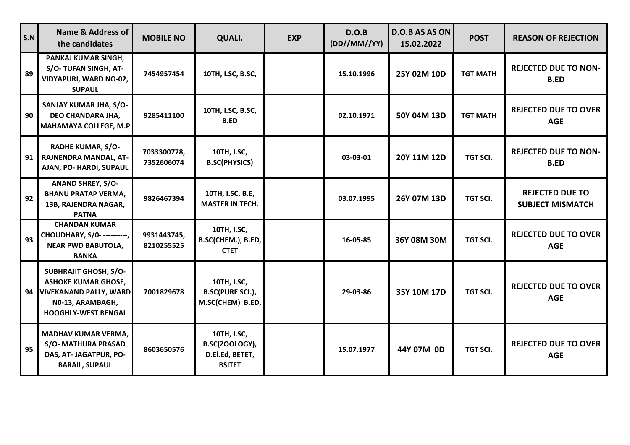| S.N | <b>Name &amp; Address of</b><br>the candidates                                                                                            | <b>MOBILE NO</b>          | <b>QUALI.</b>                                                     | <b>EXP</b> | D.O.B<br>(DD//MM//YY) | D.O.B AS AS ON<br>15.02.2022 | <b>POST</b>     | <b>REASON OF REJECTION</b>                        |
|-----|-------------------------------------------------------------------------------------------------------------------------------------------|---------------------------|-------------------------------------------------------------------|------------|-----------------------|------------------------------|-----------------|---------------------------------------------------|
| 89  | PANKAJ KUMAR SINGH,<br>S/O-TUFAN SINGH, AT-<br><b>VIDYAPURI, WARD NO-02,</b><br><b>SUPAUL</b>                                             | 7454957454                | 10TH, I.SC, B.SC,                                                 |            | 15.10.1996            | 25Y 02M 10D                  | <b>TGT MATH</b> | <b>REJECTED DUE TO NON-</b><br><b>B.ED</b>        |
| 90  | SANJAY KUMAR JHA, S/O-<br>DEO CHANDARA JHA,<br>MAHAMAYA COLLEGE, M.P                                                                      | 9285411100                | 10TH, I.SC, B.SC,<br><b>B.ED</b>                                  |            | 02.10.1971            | 50Y 04M 13D                  | <b>TGT MATH</b> | <b>REJECTED DUE TO OVER</b><br><b>AGE</b>         |
| 91  | <b>RADHE KUMAR, S/O-</b><br>RAJNENDRA MANDAL, AT-<br>AJAN, PO- HARDI, SUPAUL                                                              | 7033300778,<br>7352606074 | 10TH, I.SC,<br><b>B.SC(PHYSICS)</b>                               |            | 03-03-01              | 20Y 11M 12D                  | TGT SCI.        | <b>REJECTED DUE TO NON-</b><br><b>B.ED</b>        |
| 92  | <b>ANAND SHREY, S/O-</b><br><b>BHANU PRATAP VERMA,</b><br>13B, RAJENDRA NAGAR,<br><b>PATNA</b>                                            | 9826467394                | 10TH, I.SC, B.E,<br><b>MASTER IN TECH.</b>                        |            | 03.07.1995            | 26Y 07M 13D                  | TGT SCI.        | <b>REJECTED DUE TO</b><br><b>SUBJECT MISMATCH</b> |
| 93  | <b>CHANDAN KUMAR</b><br>CHOUDHARY, S/0- ----------,<br><b>NEAR PWD BABUTOLA,</b><br><b>BANKA</b>                                          | 9931443745,<br>8210255525 | 10TH, I.SC,<br>B.SC(CHEM.), B.ED,<br><b>CTET</b>                  |            | 16-05-85              | 36Y 08M 30M                  | TGT SCI.        | <b>REJECTED DUE TO OVER</b><br><b>AGE</b>         |
|     | <b>SUBHRAJIT GHOSH, S/O-</b><br><b>ASHOKE KUMAR GHOSE,</b><br>94 VIVEKANAND PALLY, WARD<br>NO-13, ARAMBAGH,<br><b>HOOGHLY-WEST BENGAL</b> | 7001829678                | 10TH, I.SC,<br><b>B.SC(PURE SCI.),</b><br>M.SC(CHEM) B.ED,        |            | 29-03-86              | 35Y 10M 17D                  | TGT SCI.        | <b>REJECTED DUE TO OVER</b><br><b>AGE</b>         |
| 95  | <b>MADHAV KUMAR VERMA,</b><br><b>S/O- MATHURA PRASAD</b><br>DAS, AT- JAGATPUR, PO-<br><b>BARAIL, SUPAUL</b>                               | 8603650576                | 10TH, I.SC,<br>B.SC(ZOOLOGY),<br>D.El.Ed, BETET,<br><b>BSITET</b> |            | 15.07.1977            | 44Y 07M 0D                   | TGT SCI.        | <b>REJECTED DUE TO OVER</b><br><b>AGE</b>         |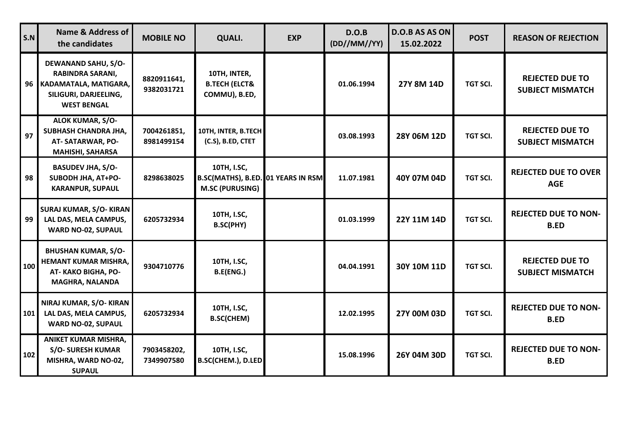| S.N | <b>Name &amp; Address of</b><br>the candidates                                                                            | <b>MOBILE NO</b>          | <b>QUALI.</b>                                                               | <b>EXP</b> | D.O.B<br>(DD//MM//YY) | <b>D.O.B AS AS ON</b><br>15.02.2022 | <b>POST</b>     | <b>REASON OF REJECTION</b>                        |
|-----|---------------------------------------------------------------------------------------------------------------------------|---------------------------|-----------------------------------------------------------------------------|------------|-----------------------|-------------------------------------|-----------------|---------------------------------------------------|
|     | <b>DEWANAND SAHU, S/O-</b><br>RABINDRA SARANI,<br>96 KADAMATALA, MATIGARA,<br>SILIGURI, DARJEELING,<br><b>WEST BENGAL</b> | 8820911641,<br>9382031721 | 10TH, INTER,<br><b>B.TECH (ELCT&amp;</b><br>COMMU), B.ED,                   |            | 01.06.1994            | 27Y 8M 14D                          | TGT SCI.        | <b>REJECTED DUE TO</b><br><b>SUBJECT MISMATCH</b> |
| 97  | <b>ALOK KUMAR, S/O-</b><br>SUBHASH CHANDRA JHA,<br>AT-SATARWAR, PO-<br><b>MAHISHI, SAHARSA</b>                            | 7004261851,<br>8981499154 | 10TH, INTER, B.TECH<br>(C.S), B.ED, CTET                                    |            | 03.08.1993            | 28Y 06M 12D                         | <b>TGT SCI.</b> | <b>REJECTED DUE TO</b><br><b>SUBJECT MISMATCH</b> |
| 98  | <b>BASUDEV JHA, S/O-</b><br>SUBODH JHA, AT+PO-<br><b>KARANPUR, SUPAUL</b>                                                 | 8298638025                | 10TH, I.SC,<br>B.SC(MATHS), B.ED. 01 YEARS IN RSM<br><b>M.SC (PURUSING)</b> |            | 11.07.1981            | 40Y 07M 04D                         | TGT SCI.        | <b>REJECTED DUE TO OVER</b><br><b>AGE</b>         |
| 99  | <b>SURAJ KUMAR, S/O- KIRAN</b><br>LAL DAS, MELA CAMPUS,<br><b>WARD NO-02, SUPAUL</b>                                      | 6205732934                | 10TH, I.SC,<br><b>B.SC(PHY)</b>                                             |            | 01.03.1999            | 22Y 11M 14D                         | <b>TGT SCI.</b> | <b>REJECTED DUE TO NON-</b><br><b>B.ED</b>        |
| 100 | <b>BHUSHAN KUMAR, S/O-</b><br><b>HEMANT KUMAR MISHRA,</b><br>AT-KAKO BIGHA, PO-<br><b>MAGHRA, NALANDA</b>                 | 9304710776                | 10TH, I.SC,<br>B.E(ENG.)                                                    |            | 04.04.1991            | 30Y 10M 11D                         | <b>TGT SCI.</b> | <b>REJECTED DUE TO</b><br><b>SUBJECT MISMATCH</b> |
| 101 | NIRAJ KUMAR, S/O- KIRAN<br>LAL DAS, MELA CAMPUS,<br><b>WARD NO-02, SUPAUL</b>                                             | 6205732934                | 10TH, I.SC,<br><b>B.SC(CHEM)</b>                                            |            | 12.02.1995            | 27Y 00M 03D                         | <b>TGT SCI.</b> | <b>REJECTED DUE TO NON-</b><br><b>B.ED</b>        |
| 102 | <b>ANIKET KUMAR MISHRA,</b><br><b>S/O- SURESH KUMAR</b><br>MISHRA, WARD NO-02,<br><b>SUPAUL</b>                           | 7903458202,<br>7349907580 | 10TH, I.SC,<br>B.SC(CHEM.), D.LED                                           |            | 15.08.1996            | 26Y 04M 30D                         | <b>TGT SCI.</b> | <b>REJECTED DUE TO NON-</b><br><b>B.ED</b>        |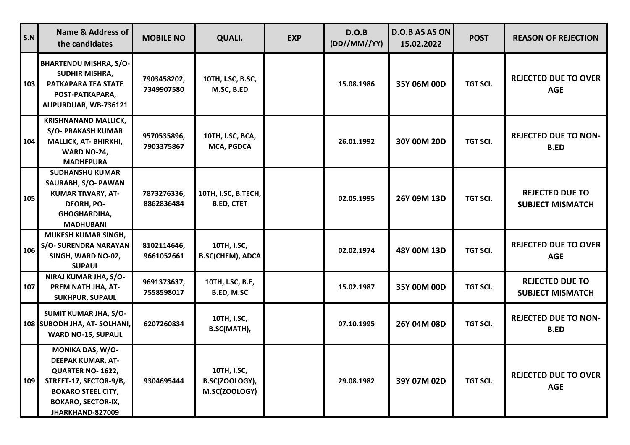| S.N | <b>Name &amp; Address of</b><br>the candidates                                                                                                                    | <b>MOBILE NO</b>          | <b>QUALI.</b>                                  | <b>EXP</b> | D.O.B<br>(DD//MM//YY) | D.O.B AS AS ON<br>15.02.2022 | <b>POST</b>     | <b>REASON OF REJECTION</b>                        |
|-----|-------------------------------------------------------------------------------------------------------------------------------------------------------------------|---------------------------|------------------------------------------------|------------|-----------------------|------------------------------|-----------------|---------------------------------------------------|
| 103 | <b>BHARTENDU MISHRA, S/O-</b><br><b>SUDHIR MISHRA,</b><br>PATKAPARA TEA STATE<br>POST-PATKAPARA,<br>ALIPURDUAR, WB-736121                                         | 7903458202,<br>7349907580 | 10TH, I.SC, B.SC,<br>M.SC, B.ED                |            | 15.08.1986            | 35Y 06M 00D                  | <b>TGT SCI.</b> | <b>REJECTED DUE TO OVER</b><br><b>AGE</b>         |
| 104 | <b>KRISHNANAND MALLICK,</b><br><b>S/O- PRAKASH KUMAR</b><br>MALLICK, AT- BHIRKHI,<br>WARD NO-24,<br><b>MADHEPURA</b>                                              | 9570535896,<br>7903375867 | 10TH, I.SC, BCA,<br>MCA, PGDCA                 |            | 26.01.1992            | 30Y 00M 20D                  | <b>TGT SCI.</b> | <b>REJECTED DUE TO NON-</b><br><b>B.ED</b>        |
| 105 | <b>SUDHANSHU KUMAR</b><br>SAURABH, S/O- PAWAN<br><b>KUMAR TIWARY, AT-</b><br>DEORH, PO-<br><b>GHOGHARDIHA,</b><br><b>MADHUBANI</b>                                | 7873276336,<br>8862836484 | 10TH, I.SC, B.TECH,<br><b>B.ED, CTET</b>       |            | 02.05.1995            | 26Y 09M 13D                  | <b>TGT SCI.</b> | <b>REJECTED DUE TO</b><br><b>SUBJECT MISMATCH</b> |
| 106 | <b>MUKESH KUMAR SINGH,</b><br><b>S/O- SURENDRA NARAYAN</b><br>SINGH, WARD NO-02,<br><b>SUPAUL</b>                                                                 | 8102114646,<br>9661052661 | 10TH, I.SC,<br><b>B.SC(CHEM), ADCA</b>         |            | 02.02.1974            | 48Y 00M 13D                  | <b>TGT SCI.</b> | <b>REJECTED DUE TO OVER</b><br><b>AGE</b>         |
| 107 | NIRAJ KUMAR JHA, S/O-<br>PREM NATH JHA, AT-<br><b>SUKHPUR, SUPAUL</b>                                                                                             | 9691373637,<br>7558598017 | 10TH, I.SC, B.E,<br>B.ED, M.SC                 |            | 15.02.1987            | 35Y 00M 00D                  | TGT SCI.        | <b>REJECTED DUE TO</b><br><b>SUBJECT MISMATCH</b> |
|     | SUMIT KUMAR JHA, S/O-<br>108 SUBODH JHA, AT-SOLHANI,<br><b>WARD NO-15, SUPAUL</b>                                                                                 | 6207260834                | 10TH, I.SC,<br>B.SC(MATH),                     |            | 07.10.1995            | 26Y 04M 08D                  | <b>TGT SCI.</b> | <b>REJECTED DUE TO NON-</b><br><b>B.ED</b>        |
| 109 | MONIKA DAS, W/O-<br>DEEPAK KUMAR, AT-<br>QUARTER NO-1622,<br>STREET-17, SECTOR-9/B,<br><b>BOKARO STEEL CITY,</b><br><b>BOKARO, SECTOR-IX,</b><br>JHARKHAND-827009 | 9304695444                | 10TH, I.SC,<br>B.SC(ZOOLOGY),<br>M.SC(ZOOLOGY) |            | 29.08.1982            | 39Y 07M 02D                  | TGT SCI.        | <b>REJECTED DUE TO OVER</b><br><b>AGE</b>         |